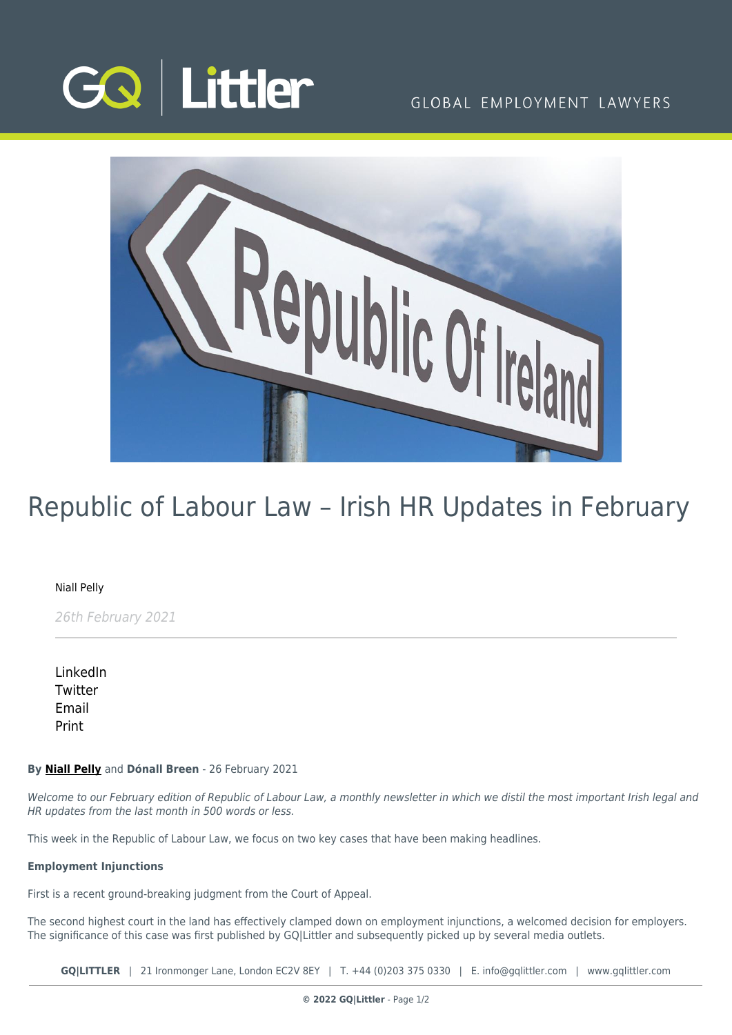

## GLOBAL EMPLOYMENT LAWYERS



# Republic of Labour Law – Irish HR Updates in February

### [Niall Pelly](https://www.gqlittler.com/about-us/the-team/niall-pelly)

26th February 2021

[LinkedIn](https://www.linkedin.com/shareArticle?mini=true&url=https%3A%2F%2Fwww.gqlittler.com%2Fresources%2Fnews-and-views%2Frepublic-of-labour-law-irish-hr-updates-in-february-2021.htm%3Funlock%3Dtrue&title=Republic+of+Labour+Law+%E2%80%93+Irish+HR+Updates+in+February&summary=This+week+in+the+Republic+of+Labour+Law%2C+we+focus+on+two+key+cases+that+have+been+making+headlines.&source=GQ+%7C+Littler) **[Twitter](https://twitter.com/share?text=Republic+of+Labour+Law+%E2%80%93+Irish+HR+Updates+in+February&url=https%3A%2F%2Fwww.gqlittler.com%2Fresources%2Fnews-and-views%2Frepublic-of-labour-law-irish-hr-updates-in-february-2021.htm&hashtags=)** [Email](mailto:?subject=Republic of Labour Law – Irish HR Updates in February&body=I) [Print](https://www.bg-pdf.co.uk/_GQ/page.php?M=6148523063484d364c793933643363755a33467361585230624756794c6d4e76625339795a584e7664584a6a5a584d76626d563363793168626d5174646d6c6c64334d76636d567764574a7361574d746232597462474669623356794c57786864793170636d6c7a6143316f63693131634752686447567a4c576c754c575a6c596e4a3159584a354c5449774d6a4575614852744930416a556d567764574a7361574d676232596754474669623356794945786864794469674a4d6753584a7063326767534649675658426b5958526c63794270626942475a574a796457467965534e4149334a6c6348566962476c6a4c57396d4c577868596d3931636931735958637461584a7063326774614849746458426b5958526c637931706269316d5a574a7964574679655330794d444978)

#### **By [Niall Pelly](https://www.gqlittler.com/about-us/the-team/niall-pelly)** and **Dónall Breen** - 26 February 2021

Welcome to our February edition of Republic of Labour Law, a monthly newsletter in which we distil the most important Irish legal and HR updates from the last month in 500 words or less.

This week in the Republic of Labour Law, we focus on two key cases that have been making headlines.

#### **Employment Injunctions**

First is a recent ground-breaking judgment from the Court of Appeal.

The second highest court in the land has effectively clamped down on employment injunctions, a welcomed decision for employers. The significance of this case was first published by GOILittler and subsequently picked up by several media outlets.

**GQ|LITTLER** | 21 Ironmonger Lane, London EC2V 8EY | T. [+44 \(0\)203 375 0330](https://www.bg-pdf.co.uk/_GQ/tel:+442033750330) | E. [info@gqlittler.com](mailto:info@gqlittler.com) | [www.gqlittler.com](https://www.gqlittler.com)